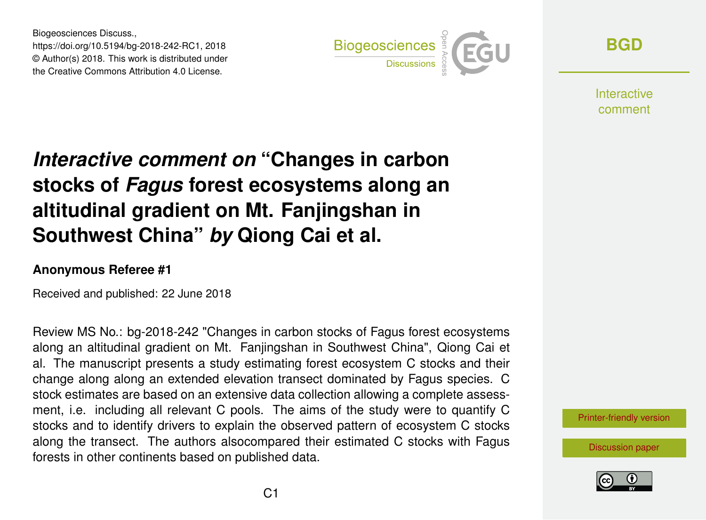Biogeosciences Discuss., https://doi.org/10.5194/bg-2018-242-RC1, 2018 © Author(s) 2018. This work is distributed under the Creative Commons Attribution 4.0 License.



**[BGD](https://www.biogeosciences-discuss.net/)**

**Interactive** comment

# *Interactive comment on* **"Changes in carbon stocks of** *Fagus* **forest ecosystems along an altitudinal gradient on Mt. Fanjingshan in Southwest China"** *by* **Qiong Cai et al.**

### **Anonymous Referee #1**

Received and published: 22 June 2018

Review MS No.: bg-2018-242 "Changes in carbon stocks of Fagus forest ecosystems along an altitudinal gradient on Mt. Fanjingshan in Southwest China", Qiong Cai et al. The manuscript presents a study estimating forest ecosystem C stocks and their change along along an extended elevation transect dominated by Fagus species. C stock estimates are based on an extensive data collection allowing a complete assessment, i.e. including all relevant C pools. The aims of the study were to quantify C stocks and to identify drivers to explain the observed pattern of ecosystem C stocks along the transect. The authors alsocompared their estimated C stocks with Fagus forests in other continents based on published data.

[Printer-friendly version](https://www.biogeosciences-discuss.net/bg-2018-242/bg-2018-242-RC1-print.pdf)

[Discussion paper](https://www.biogeosciences-discuss.net/bg-2018-242)

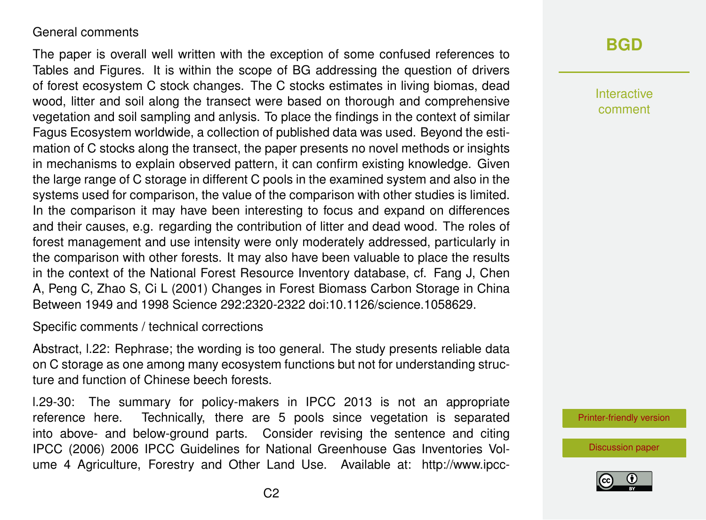#### General comments

The paper is overall well written with the exception of some confused references to Tables and Figures. It is within the scope of BG addressing the question of drivers of forest ecosystem C stock changes. The C stocks estimates in living biomas, dead wood, litter and soil along the transect were based on thorough and comprehensive vegetation and soil sampling and anlysis. To place the findings in the context of similar Fagus Ecosystem worldwide, a collection of published data was used. Beyond the estimation of C stocks along the transect, the paper presents no novel methods or insights in mechanisms to explain observed pattern, it can confirm existing knowledge. Given the large range of C storage in different C pools in the examined system and also in the systems used for comparison, the value of the comparison with other studies is limited. In the comparison it may have been interesting to focus and expand on differences and their causes, e.g. regarding the contribution of litter and dead wood. The roles of forest management and use intensity were only moderately addressed, particularly in the comparison with other forests. It may also have been valuable to place the results in the context of the National Forest Resource Inventory database, cf. Fang J, Chen A, Peng C, Zhao S, Ci L (2001) Changes in Forest Biomass Carbon Storage in China Between 1949 and 1998 Science 292:2320-2322 doi:10.1126/science.1058629.

Specific comments / technical corrections

Abstract, l.22: Rephrase; the wording is too general. The study presents reliable data on C storage as one among many ecosystem functions but not for understanding structure and function of Chinese beech forests.

l.29-30: The summary for policy-makers in IPCC 2013 is not an appropriate reference here. Technically, there are 5 pools since vegetation is separated into above- and below-ground parts. Consider revising the sentence and citing IPCC (2006) 2006 IPCC Guidelines for National Greenhouse Gas Inventories Volume 4 Agriculture, Forestry and Other Land Use. Available at: http://www.ipcc-

### **[BGD](https://www.biogeosciences-discuss.net/)**

Interactive comment

[Printer-friendly version](https://www.biogeosciences-discuss.net/bg-2018-242/bg-2018-242-RC1-print.pdf)

[Discussion paper](https://www.biogeosciences-discuss.net/bg-2018-242)

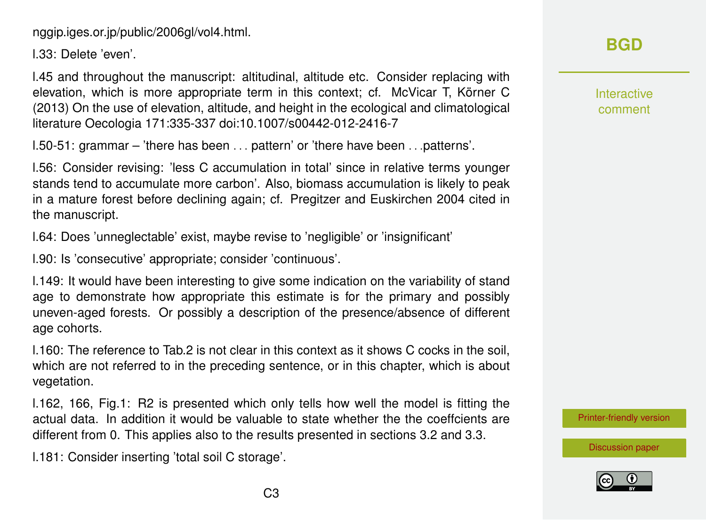nggip.iges.or.jp/public/2006gl/vol4.html.

l.33: Delete 'even'.

l.45 and throughout the manuscript: altitudinal, altitude etc. Consider replacing with elevation, which is more appropriate term in this context; cf. McVicar T, Körner C (2013) On the use of elevation, altitude, and height in the ecological and climatological literature Oecologia 171:335-337 doi:10.1007/s00442-012-2416-7

l.50-51: grammar – 'there has been . . . pattern' or 'there have been . . .patterns'.

l.56: Consider revising: 'less C accumulation in total' since in relative terms younger stands tend to accumulate more carbon'. Also, biomass accumulation is likely to peak in a mature forest before declining again; cf. Pregitzer and Euskirchen 2004 cited in the manuscript.

l.64: Does 'unneglectable' exist, maybe revise to 'negligible' or 'insignificant'

l.90: Is 'consecutive' appropriate; consider 'continuous'.

l.149: It would have been interesting to give some indication on the variability of stand age to demonstrate how appropriate this estimate is for the primary and possibly uneven-aged forests. Or possibly a description of the presence/absence of different age cohorts.

l.160: The reference to Tab.2 is not clear in this context as it shows C cocks in the soil, which are not referred to in the preceding sentence, or in this chapter, which is about vegetation.

l.162, 166, Fig.1: R2 is presented which only tells how well the model is fitting the actual data. In addition it would be valuable to state whether the the coeffcients are different from 0. This applies also to the results presented in sections 3.2 and 3.3.

l.181: Consider inserting 'total soil C storage'.

## **[BGD](https://www.biogeosciences-discuss.net/)**

Interactive comment

[Printer-friendly version](https://www.biogeosciences-discuss.net/bg-2018-242/bg-2018-242-RC1-print.pdf)



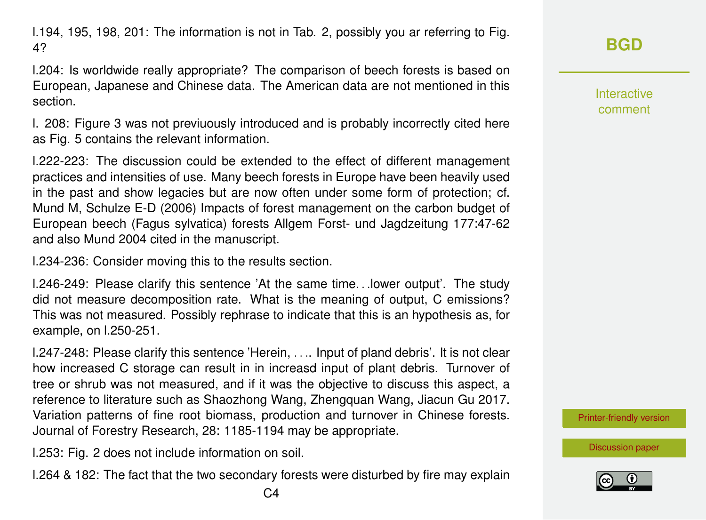l.194, 195, 198, 201: The information is not in Tab. 2, possibly you ar referring to Fig. 4?

l.204: Is worldwide really appropriate? The comparison of beech forests is based on European, Japanese and Chinese data. The American data are not mentioned in this section.

l. 208: Figure 3 was not previuously introduced and is probably incorrectly cited here as Fig. 5 contains the relevant information.

l.222-223: The discussion could be extended to the effect of different management practices and intensities of use. Many beech forests in Europe have been heavily used in the past and show legacies but are now often under some form of protection; cf. Mund M, Schulze E-D (2006) Impacts of forest management on the carbon budget of European beech (Fagus sylvatica) forests Allgem Forst- und Jagdzeitung 177:47-62 and also Mund 2004 cited in the manuscript.

l.234-236: Consider moving this to the results section.

l.246-249: Please clarify this sentence 'At the same time. . .lower output'. The study did not measure decomposition rate. What is the meaning of output, C emissions? This was not measured. Possibly rephrase to indicate that this is an hypothesis as, for example, on l.250-251.

l.247-248: Please clarify this sentence 'Herein, . . .. Input of pland debris'. It is not clear how increased C storage can result in in increasd input of plant debris. Turnover of tree or shrub was not measured, and if it was the objective to discuss this aspect, a reference to literature such as Shaozhong Wang, Zhengquan Wang, Jiacun Gu 2017. Variation patterns of fine root biomass, production and turnover in Chinese forests. Journal of Forestry Research, 28: 1185-1194 may be appropriate.

l.253: Fig. 2 does not include information on soil.

l.264 & 182: The fact that the two secondary forests were disturbed by fire may explain

Interactive comment

[Printer-friendly version](https://www.biogeosciences-discuss.net/bg-2018-242/bg-2018-242-RC1-print.pdf)

[Discussion paper](https://www.biogeosciences-discuss.net/bg-2018-242)